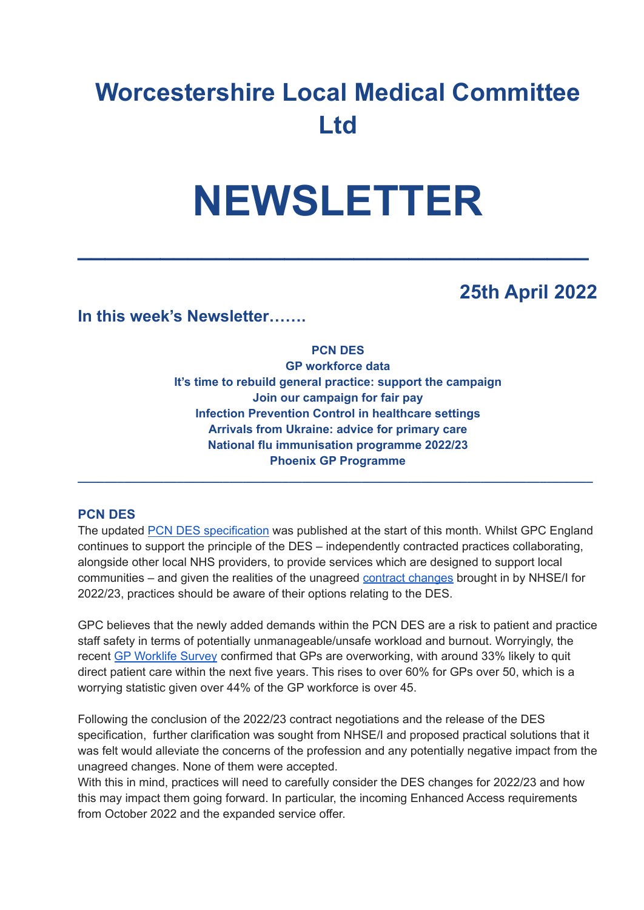# **Worcestershire Local Medical Committee Ltd**

# **NEWSLETTER**

**\_\_\_\_\_\_\_\_\_\_\_\_\_\_\_\_\_\_\_\_\_\_\_\_\_\_\_\_\_\_\_\_\_\_\_\_\_**

## **25th April 2022**

**In this week's Newsletter…….**

#### **PCN DES**

**GP workforce data It's time to rebuild general practice: support the campaign Join our campaign for fair pay Infection Prevention Control in healthcare settings Arrivals from Ukraine: advice for primary care National flu immunisation programme 2022/23 Phoenix GP Programme**

**\_\_\_\_\_\_\_\_\_\_\_\_\_\_\_\_\_\_\_\_\_\_\_\_\_\_\_\_\_\_\_\_\_\_\_\_\_\_\_\_\_\_\_\_\_\_\_\_\_\_\_\_\_\_\_\_\_\_\_\_\_\_\_\_\_\_\_\_\_\_\_\_\_\_\_\_\_\_**

#### **PCN DES**

The updated PCN DES [specification](https://www.england.nhs.uk/gp/investment/gp-contract/network-contract-directed-enhanced-service-des/) was published at the start of this month. Whilst GPC England continues to support the principle of the DES – independently contracted practices collaborating, alongside other local NHS providers, to provide services which are designed to support local communities – and given the realities of the unagreed contract [changes](https://www.bma.org.uk/pay-and-contracts/contracts/gp-contract/gp-contract-changes-england-202223) brought in by NHSE/I for 2022/23, practices should be aware of their options relating to the DES.

GPC believes that the newly added demands within the PCN DES are a risk to patient and practice staff safety in terms of potentially unmanageable/unsafe workload and burnout. Worryingly, the recent GP [Worklife](https://www.bma.org.uk/bma-media-centre/government-must-take-action-to-prevent-mass-exodus-of-gps-bma-says-in-response-to-the-eleventh-gp-worklife-survey) Survey confirmed that GPs are overworking, with around 33% likely to quit direct patient care within the next five years. This rises to over 60% for GPs over 50, which is a worrying statistic given over 44% of the GP workforce is over 45.

Following the conclusion of the 2022/23 contract negotiations and the release of the DES specification, further clarification was sought from NHSE/I and proposed practical solutions that it was felt would alleviate the concerns of the profession and any potentially negative impact from the unagreed changes. None of them were accepted.

With this in mind, practices will need to carefully consider the DES changes for 2022/23 and how this may impact them going forward. In particular, the incoming Enhanced Access requirements from October 2022 and the expanded service offer.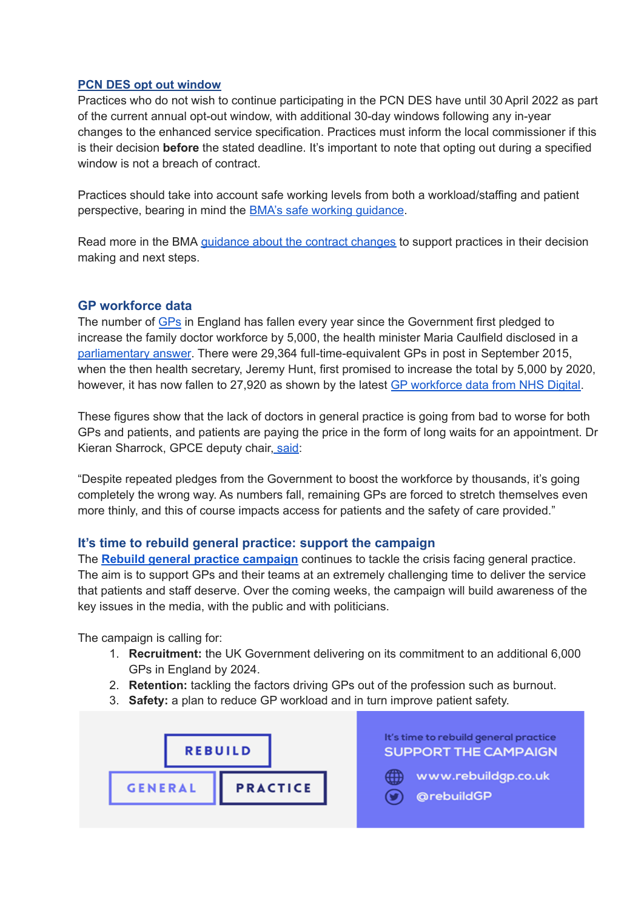#### **PCN DES opt out window**

Practices who do not wish to continue participating in the PCN DES have until 30April 2022 as part of the current annual opt-out window, with additional 30-day windows following any in-year changes to the enhanced service specification. Practices must inform the local commissioner if this is their decision **before** the stated deadline. It's important to note that opting out during a specified window is not a breach of contract.

Practices should take into account safe working levels from both a workload/staffing and patient perspective, bearing in mind the BMA's safe working [guidance](https://www.bma.org.uk/advice-and-support/gp-practices/managing-workload/safe-working-in-general-practice).

Read more in the BMA [guidance](https://www.bma.org.uk/pay-and-contracts/contracts/gp-contract/gp-contract-changes-england-202223) about the contract changes to support practices in their decision making and next steps.

#### **GP workforce data**

The number of [GPs](https://www.theguardian.com/society/gps) in England has fallen every year since the Government first pledged to increase the family doctor workforce by 5,000, the health minister Maria Caulfield disclosed in a [parliamentary](https://questions-statements.parliament.uk/written-questions/detail/2022-03-22/144878) answer. There were 29,364 full-time-equivalent GPs in post in September 2015, when the then health secretary, Jeremy Hunt, first promised to increase the total by 5,000 by 2020, however, it has now fallen to 27,920 as shown by the latest GP [workforce](https://digital.nhs.uk/data-and-information/publications/statistical/general-and-personal-medical-services/28-february-2022) data from NHS Digital.

These figures show that the lack of doctors in general practice is going from bad to worse for both GPs and patients, and patients are paying the price in the form of long waits for an appointment. Dr Kieran Sharrock, GPCE deputy chair, [said:](https://www.theguardian.com/society/2022/apr/11/gp-numbers-in-england-down-every-year-since-2015-pledge-to-raise-them)

"Despite repeated pledges from the Government to boost the workforce by thousands, it's going completely the wrong way. As numbers fall, remaining GPs are forced to stretch themselves even more thinly, and this of course impacts access for patients and the safety of care provided."

#### **It's time to rebuild general practice: support the campaign**

The **Rebuild general practice [campaign](https://bma-mail.org.uk/JVX-7T392-G7LO7P-4RBR12-1/c.aspx)** continues to tackle the crisis facing general practice. The aim is to support GPs and their teams at an extremely challenging time to deliver the service that patients and staff deserve. Over the coming weeks, the campaign will build awareness of the key issues in the media, with the public and with politicians.

The campaign is calling for:

- 1. **Recruitment:** the UK Government delivering on its commitment to an additional 6,000 GPs in England by 2024.
- 2. **Retention:** tackling the factors driving GPs out of the profession such as burnout.
- 3. **Safety:** a plan to reduce GP workload and in turn improve patient safety.

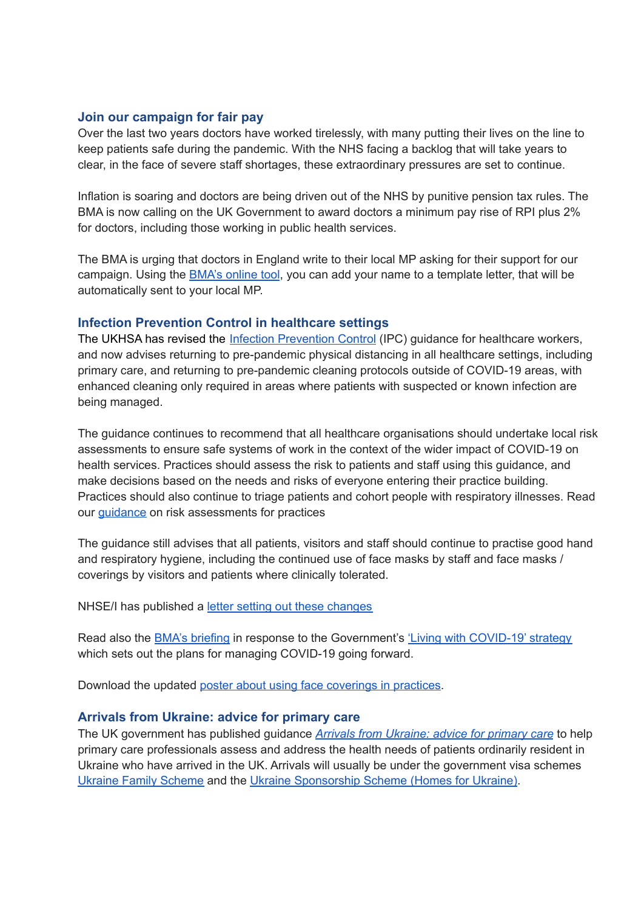#### **Join our campaign for fair pay**

Over the last two years doctors have worked tirelessly, with many putting their lives on the line to keep patients safe during the pandemic. With the NHS facing a backlog that will take years to clear, in the face of severe staff shortages, these extraordinary pressures are set to continue.

Inflation is soaring and doctors are being driven out of the NHS by punitive pension tax rules. The BMA is now calling on the UK Government to award doctors a minimum pay rise of RPI plus 2% for doctors, including those working in public health services.

The BMA is urging that doctors in England write to their local MP asking for their support for our campaign. Using the **[BMA's](https://e-activist.com/page/103703/action/1?ea.tracking.id=NewsletterS) online tool**, you can add your name to a template letter, that will be automatically sent to your local MP.

#### **Infection Prevention Control in healthcare settings**

The UKHSA has revised the Infection [Prevention](https://www.gov.uk/government/publications/wuhan-novel-coronavirus-infection-prevention-and-control) Control (IPC) guidance for healthcare workers, and now advises returning to pre-pandemic physical distancing in all healthcare settings, including primary care, and returning to pre-pandemic cleaning protocols outside of COVID-19 areas, with enhanced cleaning only required in areas where patients with suspected or known infection are being managed.

The guidance continues to recommend that all healthcare organisations should undertake local risk assessments to ensure safe systems of work in the context of the wider impact of COVID-19 on health services. Practices should assess the risk to patients and staff using this guidance, and make decisions based on the needs and risks of everyone entering their practice building. Practices should also continue to triage patients and cohort people with respiratory illnesses. Read our [guidance](https://i.emlfiles4.com/cmpdoc/3/7/7/5/2/files/868663_ppe-risk-assessment-final.pdf?utm_source=The%20British%20Medical%20Association&utm_medium=email&utm_campaign=12917145_GP%20ENEWSLETTER%2013012022&dm_t=0,0,0,0,0) on risk assessments for practices

The guidance still advises that all patients, visitors and staff should continue to practise good hand and respiratory hygiene, including the continued use of face masks by staff and face masks / coverings by visitors and patients where clinically tolerated.

NHSE/I has published a letter setting out these [changes](https://www.england.nhs.uk/publication/national-infection-prevention-and-control/)

Read also the BMA's [briefing](https://www.bma.org.uk/advice-and-support/covid-19/what-the-bma-is-doing/bma-briefing-living-with-covid-19-response) in response to the Government's 'Living with [COVID-19'](https://assets.publishing.service.gov.uk/government/uploads/system/uploads/attachment_data/file/1056229/COVID-19_Response_-_Living_with_COVID-19.pdf) strategy which sets out the plans for managing COVID-19 going forward.

Download the updated poster about using face [coverings](https://www.bma.org.uk/media/5321/bma-visiting-your-gp-poster-mar2022.pdf) in practices.

#### **Arrivals from Ukraine: advice for primary care**

The UK government has published guidance *Arrivals from [Ukraine:](https://www.gov.uk/government/publications/arrivals-from-ukraine-advice-for-primary-care/arrivals-from-ukraine-advice-for-primary-care) advice for primary care* to help primary care professionals assess and address the health needs of patients ordinarily resident in Ukraine who have arrived in the UK. Arrivals will usually be under the government visa schemes Ukraine Family [Scheme](https://www.gov.uk/guidance/apply-for-a-ukraine-family-scheme-visa) and the Ukraine [Sponsorship](https://www.gov.uk/guidance/apply-for-a-visa-under-the-ukraine-sponsorship-scheme) Scheme (Homes for Ukraine).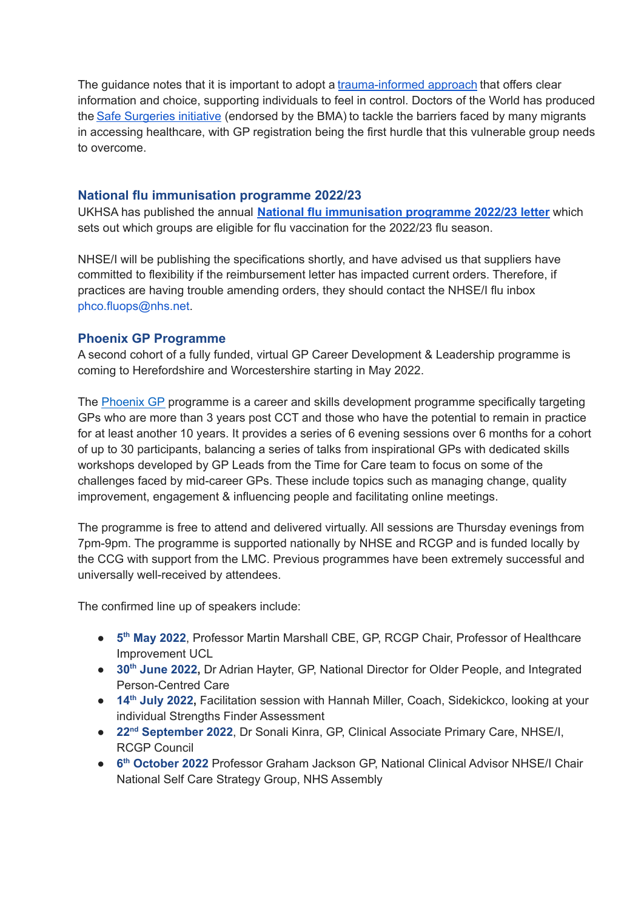The quidance notes that it is important to adopt a [trauma-informed](https://www.gov.uk/guidance/assessing-new-patients-from-overseas-migrant-health-guide#trauma-informed-practice) approach that offers clear information and choice, supporting individuals to feel in control. Doctors of the World has produced the Safe [Surgeries](https://www.doctorsoftheworld.org.uk/what-we-stand-for/supporting-medics/safe-surgeries-initiative/) initiative (endorsed by the BMA) to tackle the barriers faced by many migrants in accessing healthcare, with GP registration being the first hurdle that this vulnerable group needs to overcome.

#### **National flu immunisation programme 2022/23**

UKHSA has published the annual **National flu [immunisation](https://www.gov.uk/government/publications/national-flu-immunisation-programme-plan) programme 2022/23 letter** which sets out which groups are eligible for flu vaccination for the 2022/23 flu season.

NHSE/I will be publishing the specifications shortly, and have advised us that suppliers have committed to flexibility if the reimbursement letter has impacted current orders. Therefore, if practices are having trouble amending orders, they should contact the NHSE/I flu inbox phco.fluops@nhs.net.

#### **Phoenix GP Programme**

A second cohort of a fully funded, virtual GP Career Development & Leadership programme is coming to Herefordshire and Worcestershire starting in May 2022.

The [Phoenix](https://www.phoenixgp.co.uk/) GP programme is a career and skills development programme specifically targeting GPs who are more than 3 years post CCT and those who have the potential to remain in practice for at least another 10 years. It provides a series of 6 evening sessions over 6 months for a cohort of up to 30 participants, balancing a series of talks from inspirational GPs with dedicated skills workshops developed by GP Leads from the Time for Care team to focus on some of the challenges faced by mid-career GPs. These include topics such as managing change, quality improvement, engagement & influencing people and facilitating online meetings.

The programme is free to attend and delivered virtually. All sessions are Thursday evenings from 7pm-9pm. The programme is supported nationally by NHSE and RCGP and is funded locally by the CCG with support from the LMC. Previous programmes have been extremely successful and universally well-received by attendees.

The confirmed line up of speakers include:

- **5 th May 2022**, Professor Martin Marshall CBE, GP, RCGP Chair, Professor of Healthcare Improvement UCL
- **30 th June 2022,** Dr Adrian Hayter, GP, National Director for Older People, and Integrated Person-Centred Care
- **14 th July 2022,** Facilitation session with Hannah Miller, Coach, Sidekickco, looking at your individual Strengths Finder Assessment
- **22 nd September 2022**, Dr Sonali Kinra, GP, Clinical Associate Primary Care, NHSE/I, RCGP Council
- **6 th October 2022** Professor Graham Jackson GP, National Clinical Advisor NHSE/I Chair National Self Care Strategy Group, NHS Assembly